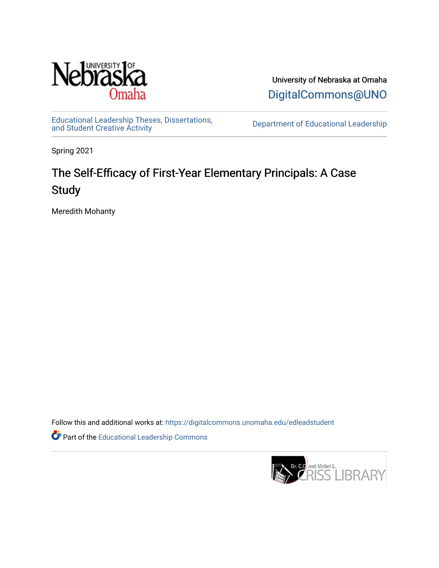

University of Nebraska at Omaha [DigitalCommons@UNO](https://digitalcommons.unomaha.edu/) 

[Educational Leadership Theses, Dissertations,](https://digitalcommons.unomaha.edu/edleadstudent)

Department of Educational Leadership

Spring 2021

# The Self-Efficacy of First-Year Elementary Principals: A Case **Study**

Meredith Mohanty

Follow this and additional works at: [https://digitalcommons.unomaha.edu/edleadstudent](https://digitalcommons.unomaha.edu/edleadstudent?utm_source=digitalcommons.unomaha.edu%2Fedleadstudent%2F10&utm_medium=PDF&utm_campaign=PDFCoverPages)

Part of the [Educational Leadership Commons](http://network.bepress.com/hgg/discipline/1230?utm_source=digitalcommons.unomaha.edu%2Fedleadstudent%2F10&utm_medium=PDF&utm_campaign=PDFCoverPages) 

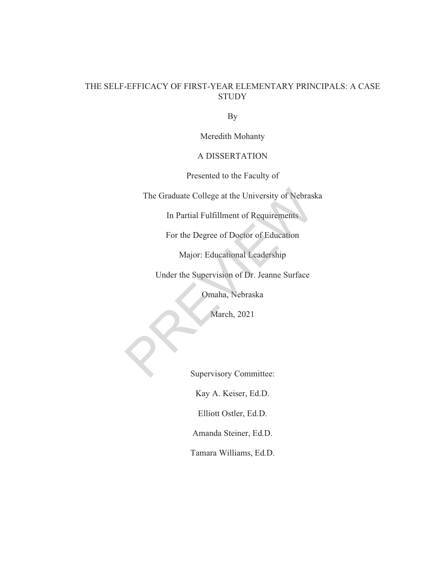# THE SELF-EFFICACY OF FIRST-YEAR ELEMENTARY PRINCIPALS: A CASE **STUDY**

By

Meredith Mohanty

# A DISSERTATION

Presented to the Faculty of

The Graduate College at the University of Nebraska The Graduate College at the University of Nebrasl<br>In Partial Fulfillment of Requirements<br>For the Degree of Doctor of Education<br>Major: Educational Leadership<br>Under the Supervision of Dr. Jeanne Surface<br>Omaha, Nebraska<br>March

In Partial Fulfillment of Requirements

For the Degree of Doctor of Education

Major: Educational Leadership

Under the Supervision of Dr. Jeanne Surface

Omaha, Nebraska

March, 2021

Supervisory Committee:

Kay A. Keiser, Ed.D.

Elliott Ostler, Ed.D.

Amanda Steiner, Ed.D.

Tamara Williams, Ed.D.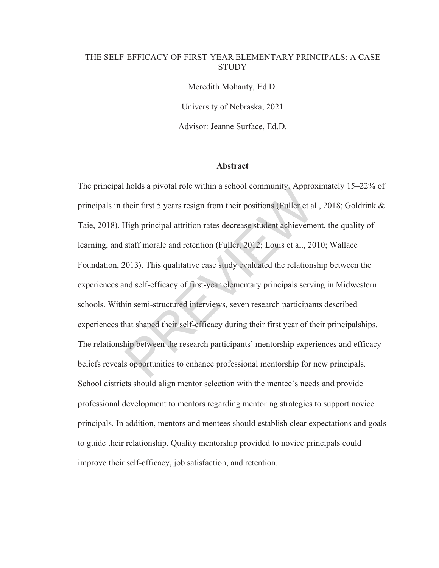# THE SELF-EFFICACY OF FIRST-YEAR ELEMENTARY PRINCIPALS: A CASE **STUDY**

Meredith Mohanty, Ed.D. University of Nebraska, 2021 Advisor: Jeanne Surface, Ed.D.

#### **Abstract**

The principal holds a pivotal role within a school community. Approximately 15–22% of principals in their first 5 years resign from their positions (Fuller et al., 2018; Goldrink & Taie, 2018). High principal attrition rates decrease student achievement, the quality of learning, and staff morale and retention (Fuller, 2012; Louis et al., 2010; Wallace Foundation, 2013). This qualitative case study evaluated the relationship between the experiences and self-efficacy of first-year elementary principals serving in Midwestern schools. Within semi-structured interviews, seven research participants described experiences that shaped their self-efficacy during their first year of their principalships. The relationship between the research participants' mentorship experiences and efficacy beliefs reveals opportunities to enhance professional mentorship for new principals. School districts should align mentor selection with the mentee's needs and provide professional development to mentors regarding mentoring strategies to support novice principals. In addition, mentors and mentees should establish clear expectations and goals to guide their relationship. Quality mentorship provided to novice principals could improve their self-efficacy, job satisfaction, and retention. Their first 5 years resign from their positions (Fuller et alligh principal attrition rates decrease student achievement<br>Staff morale and retention (Fuller, 2012; Louis et al., 20<br>2013). This qualitative case study evaluat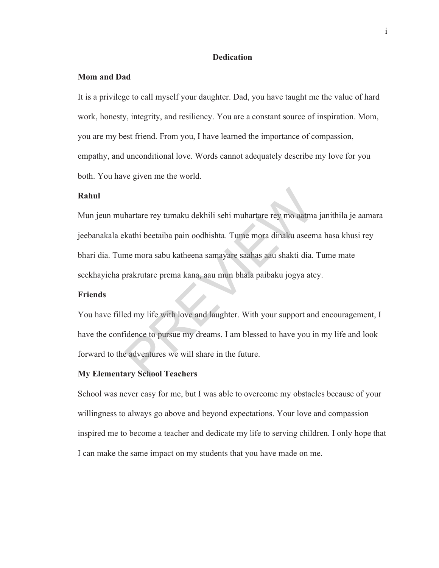#### **Dedication**

#### **Mom and Dad**

It is a privilege to call myself your daughter. Dad, you have taught me the value of hard work, honesty, integrity, and resiliency. You are a constant source of inspiration. Mom, you are my best friend. From you, I have learned the importance of compassion, empathy, and unconditional love. Words cannot adequately describe my love for you both. You have given me the world.

## **Rahul**

Mun jeun muhartare rey tumaku dekhili sehi muhartare rey mo aatma janithila je aamara jeebanakala ekathi beetaiba pain oodhishta. Tume mora dinaku aseema hasa khusi rey bhari dia. Tume mora sabu katheena samayare saahas aau shakti dia. Tume mate seekhayicha prakrutare prema kana, aau mun bhala paibaku jogya atey. hartare rey tumaku dekhili sehi muhartare rey mo aatma<br>kathi beetaiba pain oodhishta. Tume mora dinaku aseen<br>me mora sabu katheena samayare saahas aau shakti dia.<br>prakrutare prema kana, aau mun bhala paibaku jogya ate<br>ed m

#### **Friends**

You have filled my life with love and laughter. With your support and encouragement, I have the confidence to pursue my dreams. I am blessed to have you in my life and look forward to the adventures we will share in the future.

#### **My Elementary School Teachers**

School was never easy for me, but I was able to overcome my obstacles because of your willingness to always go above and beyond expectations. Your love and compassion inspired me to become a teacher and dedicate my life to serving children. I only hope that I can make the same impact on my students that you have made on me.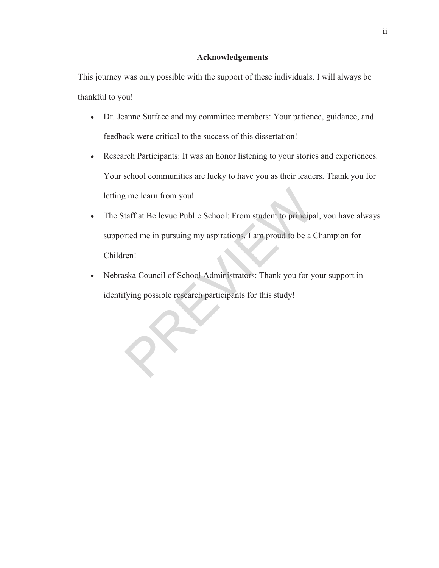## **Acknowledgements**

This journey was only possible with the support of these individuals. I will always be thankful to you!

- Dr. Jeanne Surface and my committee members: Your patience, guidance, and feedback were critical to the success of this dissertation!
- Research Participants: It was an honor listening to your stories and experiences. Your school communities are lucky to have you as their leaders. Thank you for letting me learn from you!
- The Staff at Bellevue Public School: From student to principal, you have always supported me in pursuing my aspirations. I am proud to be a Champion for Children! In the learn from you!<br>
It aff at Bellevue Public School: From student to principa<br>
Ited me in pursuing my aspirations. I am proud to be a C<br>
Iten!<br>
Iska Council of School Administrators: Thank you for y<br>
fying possible re
- Nebraska Council of School Administrators: Thank you for your support in identifying possible research participants for this study!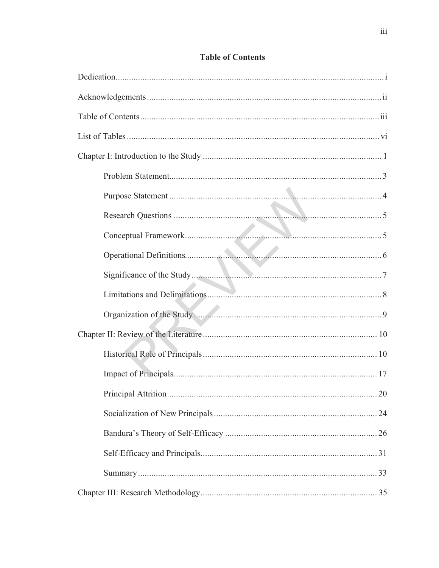# **Table of Contents**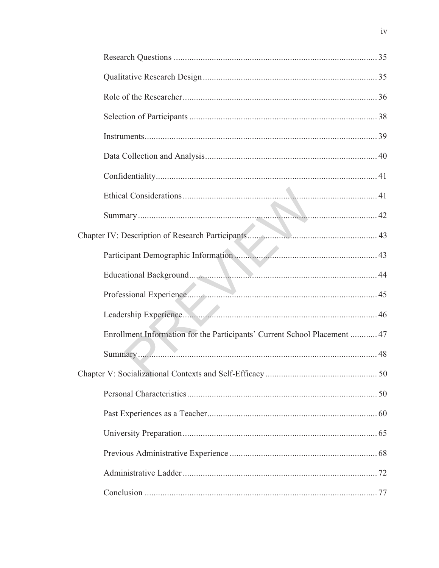| Enrollment Information for the Participants' Current School Placement  47 |
|---------------------------------------------------------------------------|
|                                                                           |
|                                                                           |
|                                                                           |
|                                                                           |
|                                                                           |
|                                                                           |
|                                                                           |
|                                                                           |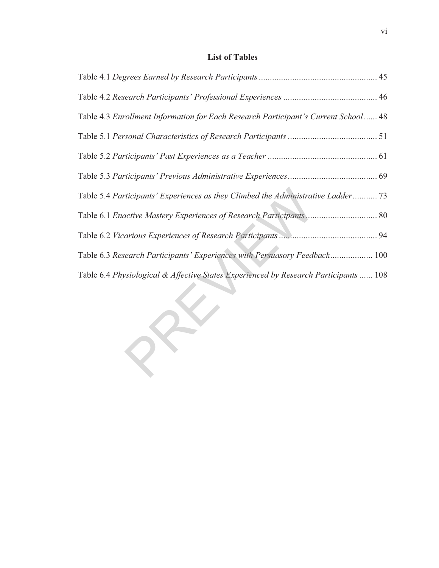# **List of Tables**

| Table 4.3 Enrollment Information for Each Research Participant's Current School 48   |
|--------------------------------------------------------------------------------------|
|                                                                                      |
|                                                                                      |
|                                                                                      |
| Table 5.4 Participants' Experiences as they Climbed the Administrative Ladder 73     |
|                                                                                      |
|                                                                                      |
| Table 6.3 Research Participants' Experiences with Persuasory Feedback 100            |
| Table 6.4 Physiological & Affective States Experienced by Research Participants  108 |

REVIEW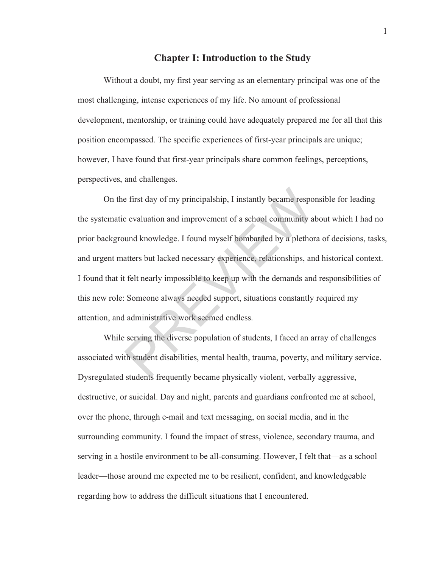# **Chapter I: Introduction to the Study**

Without a doubt, my first year serving as an elementary principal was one of the most challenging, intense experiences of my life. No amount of professional development, mentorship, or training could have adequately prepared me for all that this position encompassed. The specific experiences of first-year principals are unique; however, I have found that first-year principals share common feelings, perceptions, perspectives, and challenges.

On the first day of my principalship, I instantly became responsible for leading the systematic evaluation and improvement of a school community about which I had no prior background knowledge. I found myself bombarded by a plethora of decisions, tasks, and urgent matters but lacked necessary experience, relationships, and historical context. I found that it felt nearly impossible to keep up with the demands and responsibilities of this new role: Someone always needed support, situations constantly required my attention, and administrative work seemed endless. e first day of my principalship, I instantly became respoted and improvement of a school community and word and improvement of a school community and word and thought and the state are stated are essay experience, relation

While serving the diverse population of students, I faced an array of challenges associated with student disabilities, mental health, trauma, poverty, and military service. Dysregulated students frequently became physically violent, verbally aggressive, destructive, or suicidal. Day and night, parents and guardians confronted me at school, over the phone, through e-mail and text messaging, on social media, and in the surrounding community. I found the impact of stress, violence, secondary trauma, and serving in a hostile environment to be all-consuming. However, I felt that—as a school leader—those around me expected me to be resilient, confident, and knowledgeable regarding how to address the difficult situations that I encountered.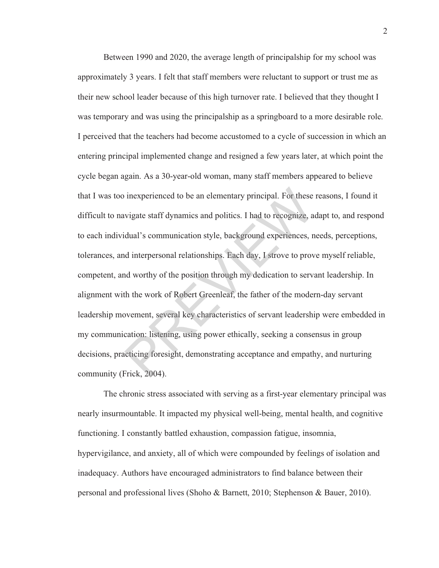Between 1990 and 2020, the average length of principalship for my school was approximately 3 years. I felt that staff members were reluctant to support or trust me as their new school leader because of this high turnover rate. I believed that they thought I was temporary and was using the principalship as a springboard to a more desirable role. I perceived that the teachers had become accustomed to a cycle of succession in which an entering principal implemented change and resigned a few years later, at which point the cycle began again. As a 30-year-old woman, many staff members appeared to believe that I was too inexperienced to be an elementary principal. For these reasons, I found it difficult to navigate staff dynamics and politics. I had to recognize, adapt to, and respond to each individual's communication style, background experiences, needs, perceptions, tolerances, and interpersonal relationships. Each day, I strove to prove myself reliable, competent, and worthy of the position through my dedication to servant leadership. In alignment with the work of Robert Greenleaf, the father of the modern-day servant leadership movement, several key characteristics of servant leadership were embedded in my communication: listening, using power ethically, seeking a consensus in group decisions, practicing foresight, demonstrating acceptance and empathy, and nurturing community (Frick, 2004). inexperienced to be an elementary principal. For these wigate staff dynamics and politics. I had to recognize, a didual's communication style, background experiences, n dinterpersonal relationships. Each day, I strove to p

The chronic stress associated with serving as a first-year elementary principal was nearly insurmountable. It impacted my physical well-being, mental health, and cognitive functioning. I constantly battled exhaustion, compassion fatigue, insomnia, hypervigilance, and anxiety, all of which were compounded by feelings of isolation and inadequacy. Authors have encouraged administrators to find balance between their personal and professional lives (Shoho & Barnett, 2010; Stephenson & Bauer, 2010).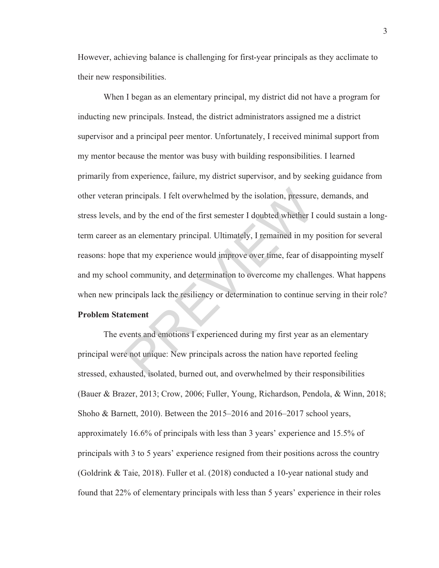However, achieving balance is challenging for first-year principals as they acclimate to their new responsibilities.

When I began as an elementary principal, my district did not have a program for inducting new principals. Instead, the district administrators assigned me a district supervisor and a principal peer mentor. Unfortunately, I received minimal support from my mentor because the mentor was busy with building responsibilities. I learned primarily from experience, failure, my district supervisor, and by seeking guidance from other veteran principals. I felt overwhelmed by the isolation, pressure, demands, and stress levels, and by the end of the first semester I doubted whether I could sustain a longterm career as an elementary principal. Ultimately, I remained in my position for several reasons: hope that my experience would improve over time, fear of disappointing myself and my school community, and determination to overcome my challenges. What happens when new principals lack the resiliency or determination to continue serving in their role? principals. I felt overwhelmed by the isolation, pressure<br>and by the end of the first semester I doubted whether I<br>s an elementary principal. Ultimately, I remained in my<br>that my experience would improve over time, fear of

# **Problem Statement**

The events and emotions I experienced during my first year as an elementary principal were not unique: New principals across the nation have reported feeling stressed, exhausted, isolated, burned out, and overwhelmed by their responsibilities (Bauer & Brazer, 2013; Crow, 2006; Fuller, Young, Richardson, Pendola, & Winn, 2018; Shoho & Barnett, 2010). Between the 2015–2016 and 2016–2017 school years, approximately 16.6% of principals with less than 3 years' experience and 15.5% of principals with 3 to 5 years' experience resigned from their positions across the country (Goldrink & Taie, 2018). Fuller et al. (2018) conducted a 10-year national study and found that 22% of elementary principals with less than 5 years' experience in their roles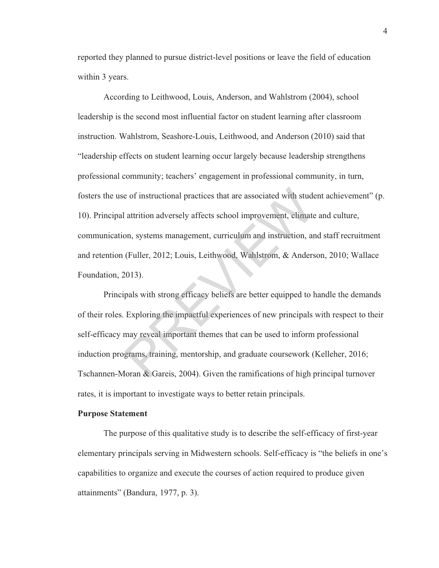reported they planned to pursue district-level positions or leave the field of education within 3 years.

According to Leithwood, Louis, Anderson, and Wahlstrom (2004), school leadership is the second most influential factor on student learning after classroom instruction. Wahlstrom, Seashore-Louis, Leithwood, and Anderson (2010) said that "leadership effects on student learning occur largely because leadership strengthens professional community; teachers' engagement in professional community, in turn, fosters the use of instructional practices that are associated with student achievement" (p. 10). Principal attrition adversely affects school improvement, climate and culture, communication, systems management, curriculum and instruction, and staff recruitment and retention (Fuller, 2012; Louis, Leithwood, Wahlstrom, & Anderson, 2010; Wallace Foundation, 2013). e of instructional practices that are associated with stude<br>attrition adversely affects school improvement, climate<br>on, systems management, curriculum and instruction, ar<br>(Fuller, 2012; Louis, Leithwood, Wahlstrom, & Ander

Principals with strong efficacy beliefs are better equipped to handle the demands of their roles. Exploring the impactful experiences of new principals with respect to their self-efficacy may reveal important themes that can be used to inform professional induction programs, training, mentorship, and graduate coursework (Kelleher, 2016; Tschannen-Moran & Gareis, 2004). Given the ramifications of high principal turnover rates, it is important to investigate ways to better retain principals.

#### **Purpose Statement**

The purpose of this qualitative study is to describe the self-efficacy of first-year elementary principals serving in Midwestern schools. Self-efficacy is "the beliefs in one's capabilities to organize and execute the courses of action required to produce given attainments" (Bandura, 1977, p. 3).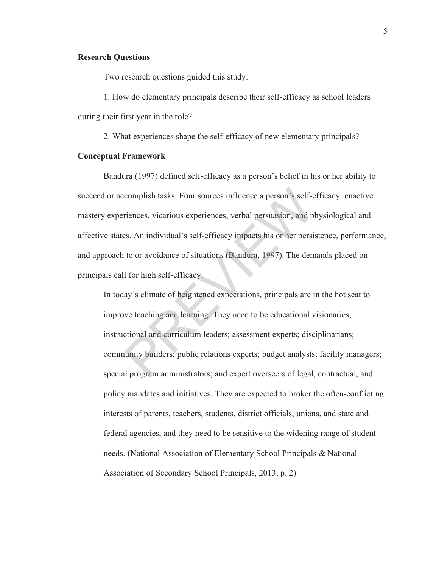### **Research Questions**

Two research questions guided this study:

1. How do elementary principals describe their self-efficacy as school leaders during their first year in the role?

2. What experiences shape the self-efficacy of new elementary principals?

#### **Conceptual Framework**

Bandura (1997) defined self-efficacy as a person's belief in his or her ability to succeed or accomplish tasks. Four sources influence a person's self-efficacy: enactive mastery experiences, vicarious experiences, verbal persuasion, and physiological and affective states. An individual's self-efficacy impacts his or her persistence, performance, and approach to or avoidance of situations (Bandura, 1997). The demands placed on principals call for high self-efficacy: complish tasks. Four sources influence a person's self-e<br>riences, vicarious experiences, verbal persuasion, and pl<br>es. An individual's self-efficacy impacts his or her persi<br>to or avoidance of situations (Bandura, 1997). T

In today's climate of heightened expectations, principals are in the hot seat to improve teaching and learning. They need to be educational visionaries; instructional and curriculum leaders; assessment experts; disciplinarians; community builders; public relations experts; budget analysts; facility managers; special program administrators; and expert overseers of legal, contractual, and policy mandates and initiatives. They are expected to broker the often-conflicting interests of parents, teachers, students, district officials, unions, and state and federal agencies, and they need to be sensitive to the widening range of student needs. (National Association of Elementary School Principals & National Association of Secondary School Principals, 2013, p. 2)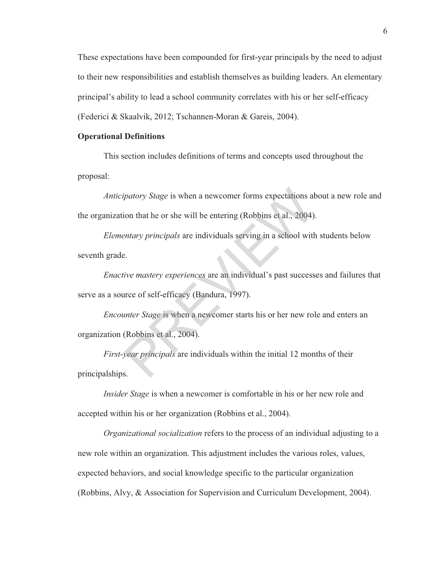These expectations have been compounded for first-year principals by the need to adjust to their new responsibilities and establish themselves as building leaders. An elementary principal's ability to lead a school community correlates with his or her self-efficacy (Federici & Skaalvik, 2012; Tschannen-Moran & Gareis, 2004).

#### **Operational Definitions**

This section includes definitions of terms and concepts used throughout the proposal:

*Anticipatory Stage* is when a newcomer forms expectations about a new role and the organization that he or she will be entering (Robbins et al., 2004). patory Stage is when a newcomer forms expectations at<br>ion that he or she will be entering (Robbins et al., 2004)<br>entary principals are individuals serving in a school with<br>example that the mastery experiences are an indivi

*Elementary principals* are individuals serving in a school with students below seventh grade.

*Enactive mastery experiences* are an individual's past successes and failures that serve as a source of self-efficacy (Bandura, 1997).

*Encounter Stage* is when a newcomer starts his or her new role and enters an organization (Robbins et al., 2004).

*First-year principals* are individuals within the initial 12 months of their principalships.

*Insider Stage* is when a newcomer is comfortable in his or her new role and accepted within his or her organization (Robbins et al., 2004).

*Organizational socialization* refers to the process of an individual adjusting to a new role within an organization. This adjustment includes the various roles, values, expected behaviors, and social knowledge specific to the particular organization (Robbins, Alvy, & Association for Supervision and Curriculum Development, 2004).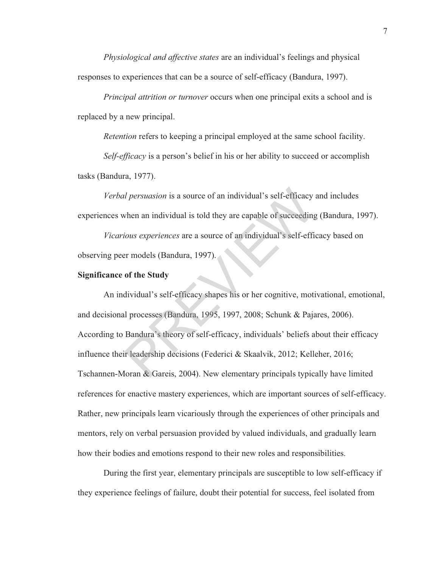*Physiological and affective states* are an individual's feelings and physical responses to experiences that can be a source of self-efficacy (Bandura, 1997).

*Principal attrition or turnover* occurs when one principal exits a school and is replaced by a new principal.

*Retention* refers to keeping a principal employed at the same school facility.

*Self-efficacy* is a person's belief in his or her ability to succeed or accomplish tasks (Bandura, 1977).

*Verbal persuasion* is a source of an individual's self-efficacy and includes experiences when an individual is told they are capable of succeeding (Bandura, 1997).

*Vicarious experiences* are a source of an individual's self-efficacy based on observing peer models (Bandura, 1997).

#### **Significance of the Study**

An individual's self-efficacy shapes his or her cognitive, motivational, emotional, and decisional processes (Bandura, 1995, 1997, 2008; Schunk & Pajares, 2006). According to Bandura's theory of self-efficacy, individuals' beliefs about their efficacy influence their leadership decisions (Federici & Skaalvik, 2012; Kelleher, 2016; Tschannen-Moran & Gareis, 2004). New elementary principals typically have limited references for enactive mastery experiences, which are important sources of self-efficacy. Rather, new principals learn vicariously through the experiences of other principals and mentors, rely on verbal persuasion provided by valued individuals, and gradually learn how their bodies and emotions respond to their new roles and responsibilities. *d persuasion* is a source of an individual's self-efficacy<br>vhen an individual is told they are capable of succeeding<br>ious experiences are a source of an individual's self-effi<br>er models (Bandura, 1997).<br>of the Study<br>divid

During the first year, elementary principals are susceptible to low self-efficacy if they experience feelings of failure, doubt their potential for success, feel isolated from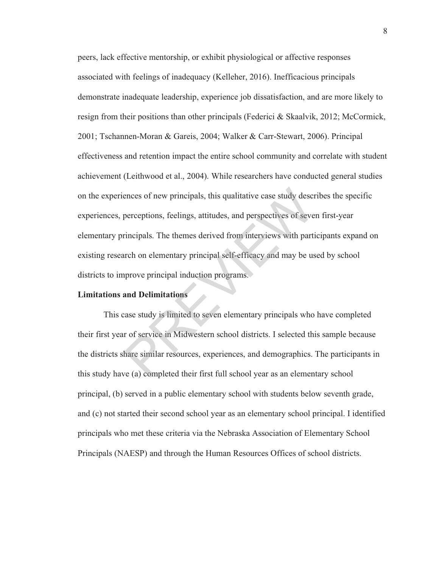peers, lack effective mentorship, or exhibit physiological or affective responses associated with feelings of inadequacy (Kelleher, 2016). Inefficacious principals demonstrate inadequate leadership, experience job dissatisfaction, and are more likely to resign from their positions than other principals (Federici & Skaalvik, 2012; McCormick, 2001; Tschannen-Moran & Gareis, 2004; Walker & Carr-Stewart, 2006). Principal effectiveness and retention impact the entire school community and correlate with student achievement (Leithwood et al., 2004). While researchers have conducted general studies on the experiences of new principals, this qualitative case study describes the specific experiences, perceptions, feelings, attitudes, and perspectives of seven first-year elementary principals. The themes derived from interviews with participants expand on existing research on elementary principal self-efficacy and may be used by school districts to improve principal induction programs. ences of new principals, this qualitative case study descretions, feelings, attitudes, and perspectives of severtincipals. The themes derived from interviews with particle incomending the themes derived from interviews wit

# **Limitations and Delimitations**

This case study is limited to seven elementary principals who have completed their first year of service in Midwestern school districts. I selected this sample because the districts share similar resources, experiences, and demographics. The participants in this study have (a) completed their first full school year as an elementary school principal, (b) served in a public elementary school with students below seventh grade, and (c) not started their second school year as an elementary school principal. I identified principals who met these criteria via the Nebraska Association of Elementary School Principals (NAESP) and through the Human Resources Offices of school districts.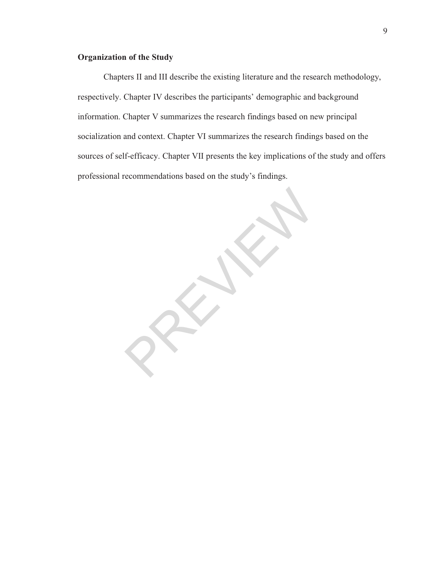# **Organization of the Study**

Chapters II and III describe the existing literature and the research methodology, respectively. Chapter IV describes the participants' demographic and background information. Chapter V summarizes the research findings based on new principal socialization and context. Chapter VI summarizes the research findings based on the sources of self-efficacy. Chapter VII presents the key implications of the study and offers professional recommendations based on the study's findings.

PREVIEWS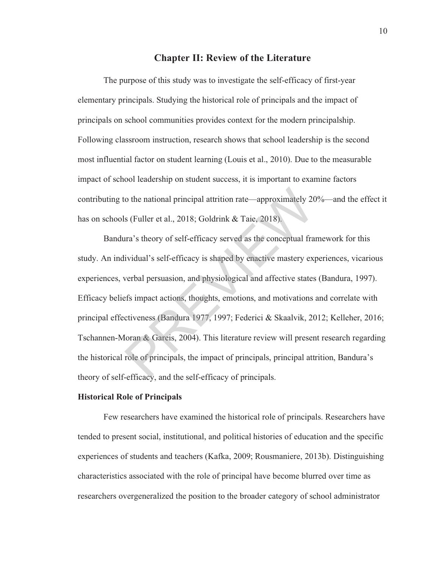# **Chapter II: Review of the Literature**

The purpose of this study was to investigate the self-efficacy of first-year elementary principals. Studying the historical role of principals and the impact of principals on school communities provides context for the modern principalship. Following classroom instruction, research shows that school leadership is the second most influential factor on student learning (Louis et al., 2010). Due to the measurable impact of school leadership on student success, it is important to examine factors contributing to the national principal attrition rate—approximately 20%—and the effect it has on schools (Fuller et al., 2018; Goldrink & Taie, 2018).

Bandura's theory of self-efficacy served as the conceptual framework for this study. An individual's self-efficacy is shaped by enactive mastery experiences, vicarious experiences, verbal persuasion, and physiological and affective states (Bandura, 1997). Efficacy beliefs impact actions, thoughts, emotions, and motivations and correlate with principal effectiveness (Bandura 1977, 1997; Federici & Skaalvik, 2012; Kelleher, 2016; Tschannen-Moran & Gareis, 2004). This literature review will present research regarding the historical role of principals, the impact of principals, principal attrition, Bandura's theory of self-efficacy, and the self-efficacy of principals. to the national principal attrition rate—approximately 20<br>
Is (Fuller et al., 2018; Goldrink & Taie, 2018).<br>
Ira's theory of self-efficacy served as the conceptual fra<br>
ividual's self-efficacy is shaped by enactive mastery

#### **Historical Role of Principals**

Few researchers have examined the historical role of principals. Researchers have tended to present social, institutional, and political histories of education and the specific experiences of students and teachers (Kafka, 2009; Rousmaniere, 2013b). Distinguishing characteristics associated with the role of principal have become blurred over time as researchers overgeneralized the position to the broader category of school administrator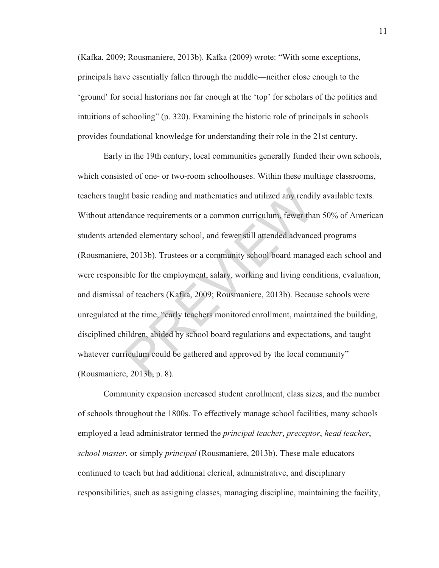(Kafka, 2009; Rousmaniere, 2013b). Kafka (2009) wrote: "With some exceptions, principals have essentially fallen through the middle—neither close enough to the 'ground' for social historians nor far enough at the 'top' for scholars of the politics and intuitions of schooling" (p. 320). Examining the historic role of principals in schools provides foundational knowledge for understanding their role in the 21st century.

Early in the 19th century, local communities generally funded their own schools, which consisted of one- or two-room schoolhouses. Within these multiage classrooms, teachers taught basic reading and mathematics and utilized any readily available texts. Without attendance requirements or a common curriculum, fewer than 50% of American students attended elementary school, and fewer still attended advanced programs (Rousmaniere, 2013b). Trustees or a community school board managed each school and were responsible for the employment, salary, working and living conditions, evaluation, and dismissal of teachers (Kafka, 2009; Rousmaniere, 2013b). Because schools were unregulated at the time, "early teachers monitored enrollment, maintained the building, disciplined children, abided by school board regulations and expectations, and taught whatever curriculum could be gathered and approved by the local community" (Rousmaniere, 2013b, p. 8). ht basic reading and mathematics and utilized any readil<br>dance requirements or a common curriculum, fewer tha<br>ded elementary school, and fewer still attended advance<br>e, 2013b). Trustees or a community school board manag<br>ib

Community expansion increased student enrollment, class sizes, and the number of schools throughout the 1800s. To effectively manage school facilities, many schools employed a lead administrator termed the *principal teacher*, *preceptor*, *head teacher*, *school master*, or simply *principal* (Rousmaniere, 2013b). These male educators continued to teach but had additional clerical, administrative, and disciplinary responsibilities, such as assigning classes, managing discipline, maintaining the facility,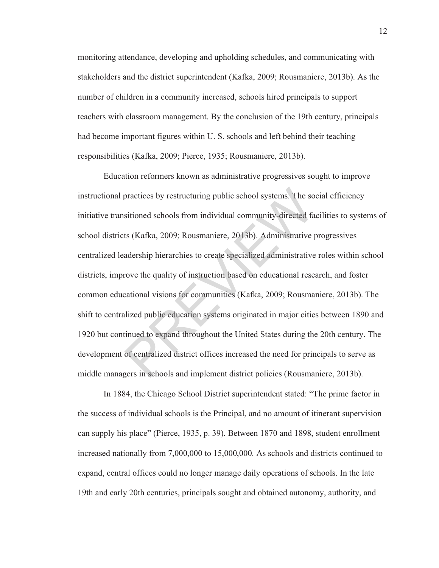monitoring attendance, developing and upholding schedules, and communicating with stakeholders and the district superintendent (Kafka, 2009; Rousmaniere, 2013b). As the number of children in a community increased, schools hired principals to support teachers with classroom management. By the conclusion of the 19th century, principals had become important figures within U. S. schools and left behind their teaching responsibilities (Kafka, 2009; Pierce, 1935; Rousmaniere, 2013b).

Education reformers known as administrative progressives sought to improve instructional practices by restructuring public school systems. The social efficiency initiative transitioned schools from individual community-directed facilities to systems of school districts (Kafka, 2009; Rousmaniere, 2013b). Administrative progressives centralized leadership hierarchies to create specialized administrative roles within school districts, improve the quality of instruction based on educational research, and foster common educational visions for communities (Kafka, 2009; Rousmaniere, 2013b). The shift to centralized public education systems originated in major cities between 1890 and 1920 but continued to expand throughout the United States during the 20th century. The development of centralized district offices increased the need for principals to serve as middle managers in schools and implement district policies (Rousmaniere, 2013b). practices by restructuring public school systems. The so<br>sitioned schools from individual community-directed fa<br>ts (Kafka, 2009; Rousmaniere, 2013b). Administrative<br>q<br>adership hierarchies to create specialized administrati

In 1884, the Chicago School District superintendent stated: "The prime factor in the success of individual schools is the Principal, and no amount of itinerant supervision can supply his place" (Pierce, 1935, p. 39). Between 1870 and 1898, student enrollment increased nationally from 7,000,000 to 15,000,000. As schools and districts continued to expand, central offices could no longer manage daily operations of schools. In the late 19th and early 20th centuries, principals sought and obtained autonomy, authority, and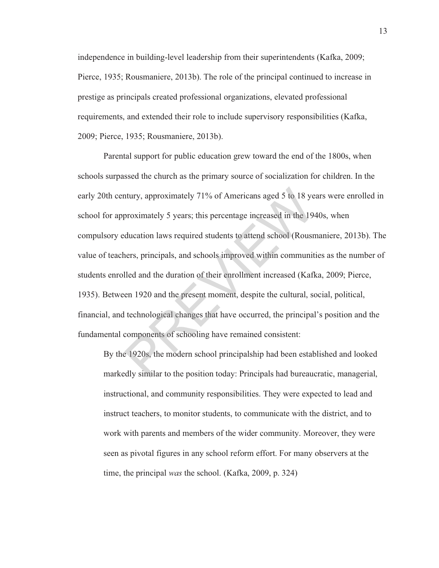independence in building-level leadership from their superintendents (Kafka, 2009; Pierce, 1935; Rousmaniere, 2013b). The role of the principal continued to increase in prestige as principals created professional organizations, elevated professional requirements, and extended their role to include supervisory responsibilities (Kafka, 2009; Pierce, 1935; Rousmaniere, 2013b).

Parental support for public education grew toward the end of the 1800s, when schools surpassed the church as the primary source of socialization for children. In the early 20th century, approximately 71% of Americans aged 5 to 18 years were enrolled in school for approximately 5 years; this percentage increased in the 1940s, when compulsory education laws required students to attend school (Rousmaniere, 2013b). The value of teachers, principals, and schools improved within communities as the number of students enrolled and the duration of their enrollment increased (Kafka, 2009; Pierce, 1935). Between 1920 and the present moment, despite the cultural, social, political, financial, and technological changes that have occurred, the principal's position and the fundamental components of schooling have remained consistent: ntury, approximately 71% of Americans aged 5 to 18 ye<br>proximately 5 years; this percentage increased in the 19-<br>ducation laws required students to attend school (Rousn<br>ners, principals, and schools improved within communit

By the 1920s, the modern school principalship had been established and looked markedly similar to the position today: Principals had bureaucratic, managerial, instructional, and community responsibilities. They were expected to lead and instruct teachers, to monitor students, to communicate with the district, and to work with parents and members of the wider community. Moreover, they were seen as pivotal figures in any school reform effort. For many observers at the time, the principal *was* the school. (Kafka, 2009, p. 324)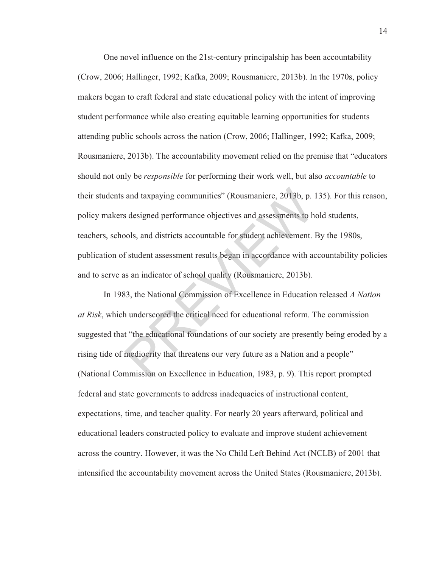One novel influence on the 21st-century principalship has been accountability (Crow, 2006; Hallinger, 1992; Kafka, 2009; Rousmaniere, 2013b). In the 1970s, policy makers began to craft federal and state educational policy with the intent of improving student performance while also creating equitable learning opportunities for students attending public schools across the nation (Crow, 2006; Hallinger, 1992; Kafka, 2009; Rousmaniere, 2013b). The accountability movement relied on the premise that "educators should not only be *responsible* for performing their work well, but also *accountable* to their students and taxpaying communities" (Rousmaniere, 2013b, p. 135). For this reason, policy makers designed performance objectives and assessments to hold students, teachers, schools, and districts accountable for student achievement. By the 1980s, publication of student assessment results began in accordance with accountability policies and to serve as an indicator of school quality (Rousmaniere, 2013b). and taxpaying communities" (Rousmaniere, 2013b, p.<br>s designed performance objectives and assessments to h<br>pols, and districts accountable for student achievement.<br>f student assessment results began in accordance with a<br>as

In 1983, the National Commission of Excellence in Education released *A Nation at Risk*, which underscored the critical need for educational reform. The commission suggested that "the educational foundations of our society are presently being eroded by a rising tide of mediocrity that threatens our very future as a Nation and a people" (National Commission on Excellence in Education, 1983, p. 9). This report prompted federal and state governments to address inadequacies of instructional content, expectations, time, and teacher quality. For nearly 20 years afterward, political and educational leaders constructed policy to evaluate and improve student achievement across the country. However, it was the No Child Left Behind Act (NCLB) of 2001 that intensified the accountability movement across the United States (Rousmaniere, 2013b).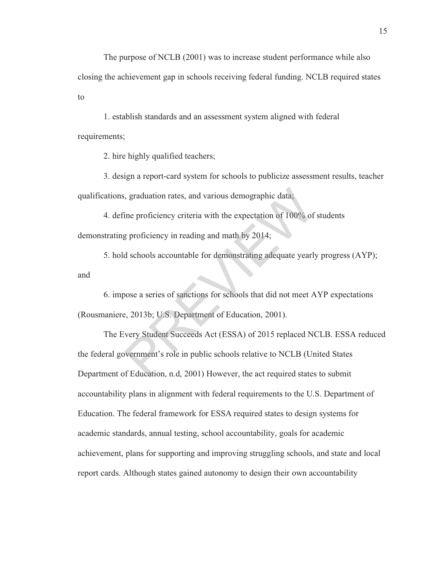The purpose of NCLB (2001) was to increase student performance while also closing the achievement gap in schools receiving federal funding. NCLB required states to

1. establish standards and an assessment system aligned with federal requirements;

2. hire highly qualified teachers;

3. design a report-card system for schools to publicize assessment results, teacher qualifications, graduation rates, and various demographic data;

4. define proficiency criteria with the expectation of 100% of students demonstrating proficiency in reading and math by 2014;

5. hold schools accountable for demonstrating adequate yearly progress (AYP); and

6. impose a series of sanctions for schools that did not meet AYP expectations (Rousmaniere, 2013b; U.S. Department of Education, 2001).

The Every Student Succeeds Act (ESSA) of 2015 replaced NCLB. ESSA reduced the federal government's role in public schools relative to NCLB (United States Department of Education, n.d, 2001) However, the act required states to submit accountability plans in alignment with federal requirements to the U.S. Department of Education. The federal framework for ESSA required states to design systems for academic standards, annual testing, school accountability, goals for academic achievement, plans for supporting and improving struggling schools, and state and local report cards. Although states gained autonomy to design their own accountability Solution rates, and various demographic data;<br>
ine proficiency criteria with the expectation of 100% of<br>
g proficiency in reading and math by 2014;<br>
d schools accountable for demonstrating adequate yearly<br>
bose a series of